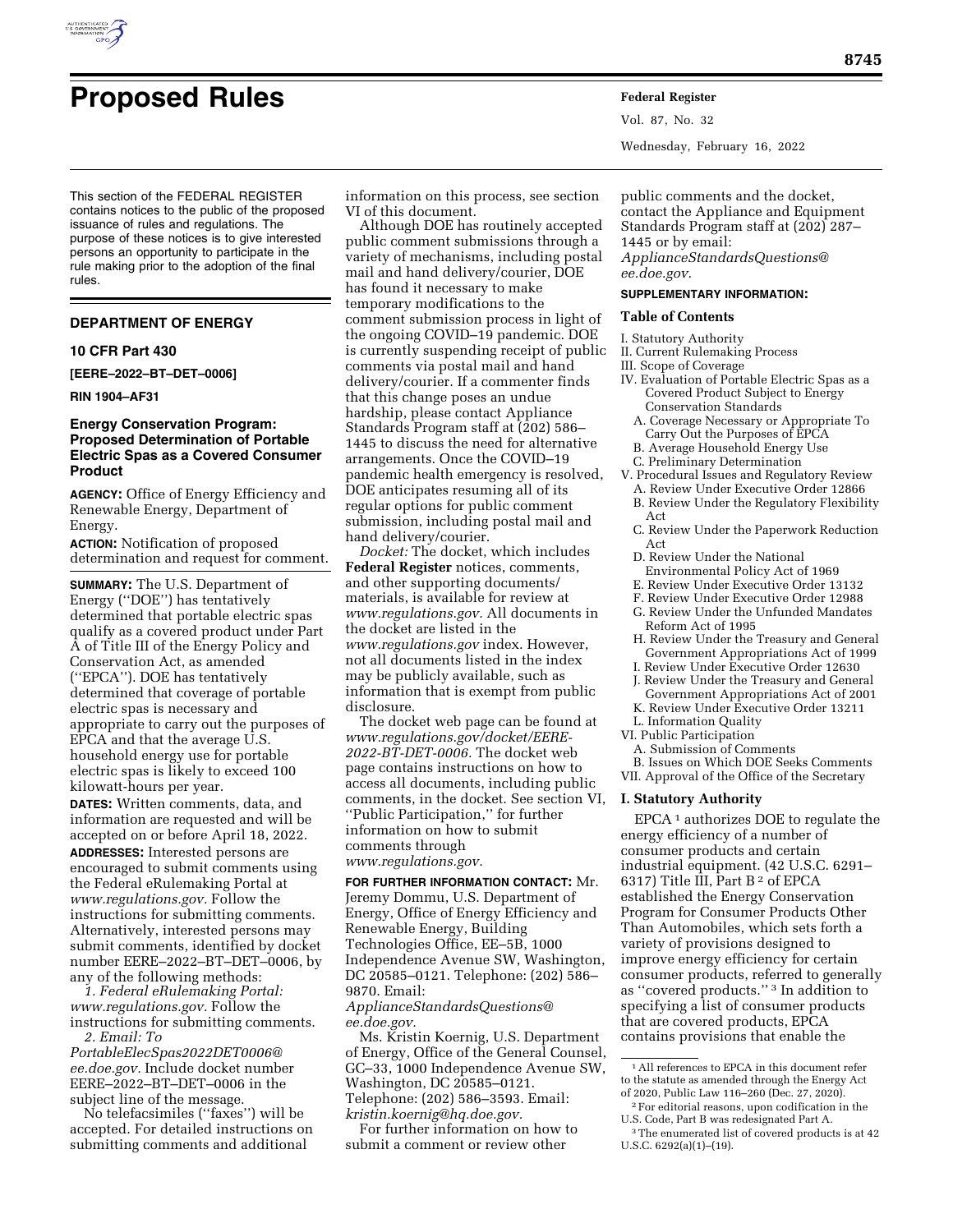

# **Proposed Rules Federal Register**

This section of the FEDERAL REGISTER contains notices to the public of the proposed issuance of rules and regulations. The purpose of these notices is to give interested persons an opportunity to participate in the rule making prior to the adoption of the final rules.

## **DEPARTMENT OF ENERGY**

#### **10 CFR Part 430**

**[EERE–2022–BT–DET–0006]** 

#### **RIN 1904–AF31**

# **Energy Conservation Program: Proposed Determination of Portable Electric Spas as a Covered Consumer Product**

**AGENCY:** Office of Energy Efficiency and Renewable Energy, Department of Energy.

**ACTION:** Notification of proposed determination and request for comment.

**SUMMARY:** The U.S. Department of Energy (''DOE'') has tentatively determined that portable electric spas qualify as a covered product under Part A of Title III of the Energy Policy and Conservation Act, as amended (''EPCA''). DOE has tentatively determined that coverage of portable electric spas is necessary and appropriate to carry out the purposes of EPCA and that the average U.S. household energy use for portable electric spas is likely to exceed 100 kilowatt-hours per year.

**DATES:** Written comments, data, and information are requested and will be accepted on or before April 18, 2022. **ADDRESSES:** Interested persons are encouraged to submit comments using the Federal eRulemaking Portal at *[www.regulations.gov.](http://www.regulations.gov)* Follow the instructions for submitting comments. Alternatively, interested persons may submit comments, identified by docket number EERE–2022–BT–DET–0006, by any of the following methods:

*1. Federal eRulemaking Portal: [www.regulations.gov.](http://www.regulations.gov)* Follow the instructions for submitting comments. *2. Email: [To](mailto:ToPortableElecSpas2022DET0006@ee.doe.gov)* 

*[PortableElecSpas2022DET0006@](mailto:ToPortableElecSpas2022DET0006@ee.doe.gov) [ee.doe.gov.](mailto:ToPortableElecSpas2022DET0006@ee.doe.gov)* Include docket number EERE–2022–BT–DET–0006 in the subject line of the message.

No telefacsimiles (''faxes'') will be accepted. For detailed instructions on submitting comments and additional

information on this process, see section VI of this document.

Although DOE has routinely accepted public comment submissions through a variety of mechanisms, including postal mail and hand delivery/courier, DOE has found it necessary to make temporary modifications to the comment submission process in light of the ongoing COVID–19 pandemic. DOE is currently suspending receipt of public comments via postal mail and hand delivery/courier. If a commenter finds that this change poses an undue hardship, please contact Appliance Standards Program staff at (202) 586– 1445 to discuss the need for alternative arrangements. Once the COVID–19 pandemic health emergency is resolved, DOE anticipates resuming all of its regular options for public comment submission, including postal mail and hand delivery/courier.

*Docket:* The docket, which includes **Federal Register** notices, comments, and other supporting documents/ materials, is available for review at *[www.regulations.gov.](http://www.regulations.gov)* All documents in the docket are listed in the *[www.regulations.gov](http://www.regulations.gov)* index. However, not all documents listed in the index may be publicly available, such as information that is exempt from public disclosure.

The docket web page can be found at *[www.regulations.gov/docket/EERE-](http://www.regulations.gov/docket/EERE-2022-BT-DET-0006)[2022-BT-DET-0006.](http://www.regulations.gov/docket/EERE-2022-BT-DET-0006)* The docket web page contains instructions on how to access all documents, including public comments, in the docket. See section VI, ''Public Participation,'' for further information on how to submit comments through *[www.regulations.gov.](http://www.regulations.gov)* 

# **FOR FURTHER INFORMATION CONTACT:** Mr. Jeremy Dommu, U.S. Department of Energy, Office of Energy Efficiency and Renewable Energy, Building Technologies Office, EE–5B, 1000 Independence Avenue SW, Washington, DC 20585–0121. Telephone: (202) 586– 9870. Email:

*[ApplianceStandardsQuestions@](mailto:ApplianceStandardsQuestions@ee.doe.gov) [ee.doe.gov.](mailto:ApplianceStandardsQuestions@ee.doe.gov)* 

Ms. Kristin Koernig, U.S. Department of Energy, Office of the General Counsel, GC–33, 1000 Independence Avenue SW, Washington, DC 20585–0121. Telephone: (202) 586–3593. Email: *[kristin.koernig@hq.doe.gov.](mailto:kristin.koernig@hq.doe.gov)* 

For further information on how to submit a comment or review other

Vol. 87, No. 32

Wednesday, February 16, 2022

public comments and the docket, contact the Appliance and Equipment Standards Program staff at (202) 287– 1445 or by email:

*[ApplianceStandardsQuestions@](mailto:ApplianceStandardsQuestions@ee.doe.gov) [ee.doe.gov.](mailto:ApplianceStandardsQuestions@ee.doe.gov)* 

#### **SUPPLEMENTARY INFORMATION:**

# **Table of Contents**

I. Statutory Authority

II. Current Rulemaking Process

III. Scope of Coverage

- IV. Evaluation of Portable Electric Spas as a Covered Product Subject to Energy Conservation Standards
	- A. Coverage Necessary or Appropriate To Carry Out the Purposes of EPCA
	- B. Average Household Energy Use
	-
- C. Preliminary Determination
- V. Procedural Issues and Regulatory Review
	- A. Review Under Executive Order 12866
- B. Review Under the Regulatory Flexibility Act
- C. Review Under the Paperwork Reduction Act
- D. Review Under the National
- Environmental Policy Act of 1969
- E. Review Under Executive Order 13132
- F. Review Under Executive Order 12988
- G. Review Under the Unfunded Mandates Reform Act of 1995
- H. Review Under the Treasury and General Government Appropriations Act of 1999
- I. Review Under Executive Order 12630
- J. Review Under the Treasury and General
- Government Appropriations Act of 2001 K. Review Under Executive Order 13211
- L. Information Quality
- VI. Public Participation
- A. Submission of Comments
- B. Issues on Which DOE Seeks Comments
- VII. Approval of the Office of the Secretary

#### **I. Statutory Authority**

EPCA 1 authorizes DOE to regulate the energy efficiency of a number of consumer products and certain industrial equipment. (42 U.S.C. 6291– 6317) Title III, Part B 2 of EPCA established the Energy Conservation Program for Consumer Products Other Than Automobiles, which sets forth a variety of provisions designed to improve energy efficiency for certain consumer products, referred to generally as ''covered products.'' 3 In addition to specifying a list of consumer products that are covered products, EPCA contains provisions that enable the

<sup>1</sup>All references to EPCA in this document refer to the statute as amended through the Energy Act of 2020, Public Law 116–260 (Dec. 27, 2020).

 $\sqrt[2]{2}$  For editorial reasons, upon codification in the U.S. Code, Part B was redesignated Part A.

<sup>3</sup>The enumerated list of covered products is at 42 U.S.C. 6292(a)(1)–(19).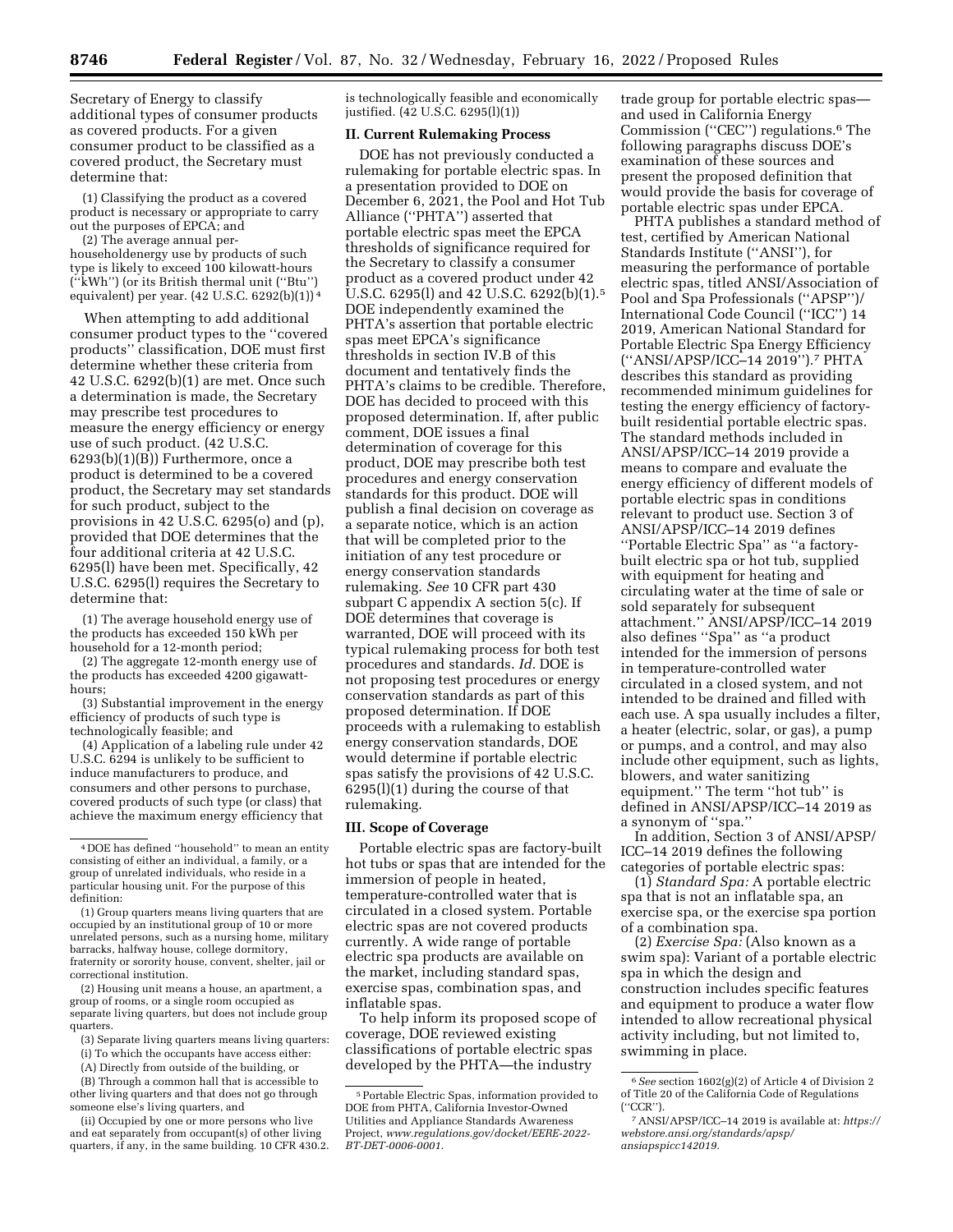Secretary of Energy to classify additional types of consumer products as covered products. For a given consumer product to be classified as a covered product, the Secretary must determine that:

(1) Classifying the product as a covered product is necessary or appropriate to carry out the purposes of EPCA; and

(2) The average annual perhouseholdenergy use by products of such type is likely to exceed 100 kilowatt-hours (''kWh'') (or its British thermal unit (''Btu'') equivalent) per year. (42 U.S.C. 6292(b)(1)) 4

When attempting to add additional consumer product types to the ''covered products'' classification, DOE must first determine whether these criteria from 42 U.S.C. 6292(b)(1) are met. Once such a determination is made, the Secretary may prescribe test procedures to measure the energy efficiency or energy use of such product. (42 U.S.C.  $6293(b)(1)(B)$  Furthermore, once a product is determined to be a covered product, the Secretary may set standards for such product, subject to the provisions in 42 U.S.C. 6295(o) and (p), provided that DOE determines that the four additional criteria at 42 U.S.C. 6295(l) have been met. Specifically, 42 U.S.C. 6295(l) requires the Secretary to determine that:

(1) The average household energy use of the products has exceeded 150 kWh per household for a 12-month period;

(2) The aggregate 12-month energy use of the products has exceeded 4200 gigawatthours;

(3) Substantial improvement in the energy efficiency of products of such type is technologically feasible; and

(4) Application of a labeling rule under 42 U.S.C. 6294 is unlikely to be sufficient to induce manufacturers to produce, and consumers and other persons to purchase, covered products of such type (or class) that achieve the maximum energy efficiency that

(2) Housing unit means a house, an apartment, a group of rooms, or a single room occupied as separate living quarters, but does not include group quarters.

(3) Separate living quarters means living quarters:

- (i) To which the occupants have access either:
- (A) Directly from outside of the building, or

(B) Through a common hall that is accessible to other living quarters and that does not go through someone else's living quarters, and

(ii) Occupied by one or more persons who live and eat separately from occupant(s) of other living quarters, if any, in the same building. 10 CFR 430.2. is technologically feasible and economically justified. (42 U.S.C. 6295(l)(1))

# **II. Current Rulemaking Process**

DOE has not previously conducted a rulemaking for portable electric spas. In a presentation provided to DOE on December 6, 2021, the Pool and Hot Tub Alliance (''PHTA'') asserted that portable electric spas meet the EPCA thresholds of significance required for the Secretary to classify a consumer product as a covered product under 42 U.S.C. 6295(l) and 42 U.S.C. 6292(b)(1).5 DOE independently examined the PHTA's assertion that portable electric spas meet EPCA's significance thresholds in section IV.B of this document and tentatively finds the PHTA's claims to be credible. Therefore, DOE has decided to proceed with this proposed determination. If, after public comment, DOE issues a final determination of coverage for this product, DOE may prescribe both test procedures and energy conservation standards for this product. DOE will publish a final decision on coverage as a separate notice, which is an action that will be completed prior to the initiation of any test procedure or energy conservation standards rulemaking. *See* 10 CFR part 430 subpart C appendix A section 5(c). If DOE determines that coverage is warranted, DOE will proceed with its typical rulemaking process for both test procedures and standards. *Id.* DOE is not proposing test procedures or energy conservation standards as part of this proposed determination. If DOE proceeds with a rulemaking to establish energy conservation standards, DOE would determine if portable electric spas satisfy the provisions of 42 U.S.C. 6295(l)(1) during the course of that rulemaking.

#### **III. Scope of Coverage**

Portable electric spas are factory-built hot tubs or spas that are intended for the immersion of people in heated, temperature-controlled water that is circulated in a closed system. Portable electric spas are not covered products currently. A wide range of portable electric spa products are available on the market, including standard spas, exercise spas, combination spas, and inflatable spas.

To help inform its proposed scope of coverage, DOE reviewed existing classifications of portable electric spas developed by the PHTA—the industry

trade group for portable electric spas and used in California Energy Commission (''CEC'') regulations.6 The following paragraphs discuss DOE's examination of these sources and present the proposed definition that would provide the basis for coverage of portable electric spas under EPCA.

PHTA publishes a standard method of test, certified by American National Standards Institute (''ANSI''), for measuring the performance of portable electric spas, titled ANSI/Association of Pool and Spa Professionals (''APSP'')/ International Code Council (''ICC'') 14 2019, American National Standard for Portable Electric Spa Energy Efficiency (''ANSI/APSP/ICC–14 2019'').7 PHTA describes this standard as providing recommended minimum guidelines for testing the energy efficiency of factorybuilt residential portable electric spas. The standard methods included in ANSI/APSP/ICC–14 2019 provide a means to compare and evaluate the energy efficiency of different models of portable electric spas in conditions relevant to product use. Section 3 of ANSI/APSP/ICC–14 2019 defines ''Portable Electric Spa'' as ''a factorybuilt electric spa or hot tub, supplied with equipment for heating and circulating water at the time of sale or sold separately for subsequent attachment.'' ANSI/APSP/ICC–14 2019 also defines ''Spa'' as ''a product intended for the immersion of persons in temperature-controlled water circulated in a closed system, and not intended to be drained and filled with each use. A spa usually includes a filter, a heater (electric, solar, or gas), a pump or pumps, and a control, and may also include other equipment, such as lights, blowers, and water sanitizing equipment.'' The term ''hot tub'' is defined in ANSI/APSP/ICC–14 2019 as a synonym of ''spa.''

In addition, Section 3 of ANSI/APSP/ ICC–14 2019 defines the following categories of portable electric spas:

(1) *Standard Spa:* A portable electric spa that is not an inflatable spa, an exercise spa, or the exercise spa portion of a combination spa.

(2) *Exercise Spa:* (Also known as a swim spa): Variant of a portable electric spa in which the design and construction includes specific features and equipment to produce a water flow intended to allow recreational physical activity including, but not limited to, swimming in place.

<sup>4</sup> DOE has defined ''household'' to mean an entity consisting of either an individual, a family, or a group of unrelated individuals, who reside in a particular housing unit. For the purpose of this definition:

<sup>(1)</sup> Group quarters means living quarters that are occupied by an institutional group of 10 or more unrelated persons, such as a nursing home, military barracks, halfway house, college dormitory, fraternity or sorority house, convent, shelter, jail or correctional institution.

<sup>5</sup>Portable Electric Spas, information provided to DOE from PHTA, California Investor-Owned Utilities and Appliance Standards Awareness Project, *[www.regulations.gov/docket/EERE-2022-](http://www.regulations.gov/docket/EERE-2022-BT-DET-0006-0001) [BT-DET-0006-0001.](http://www.regulations.gov/docket/EERE-2022-BT-DET-0006-0001)* 

<sup>6</sup>*See* section 1602(g)(2) of Article 4 of Division 2 of Title 20 of the California Code of Regulations (''CCR'').

<sup>7</sup>ANSI/APSP/ICC–14 2019 is available at: *[https://](https://webstore.ansi.org/standards/apsp/ansiapspicc142019)  [webstore.ansi.org/standards/apsp/](https://webstore.ansi.org/standards/apsp/ansiapspicc142019) [ansiapspicc142019.](https://webstore.ansi.org/standards/apsp/ansiapspicc142019)*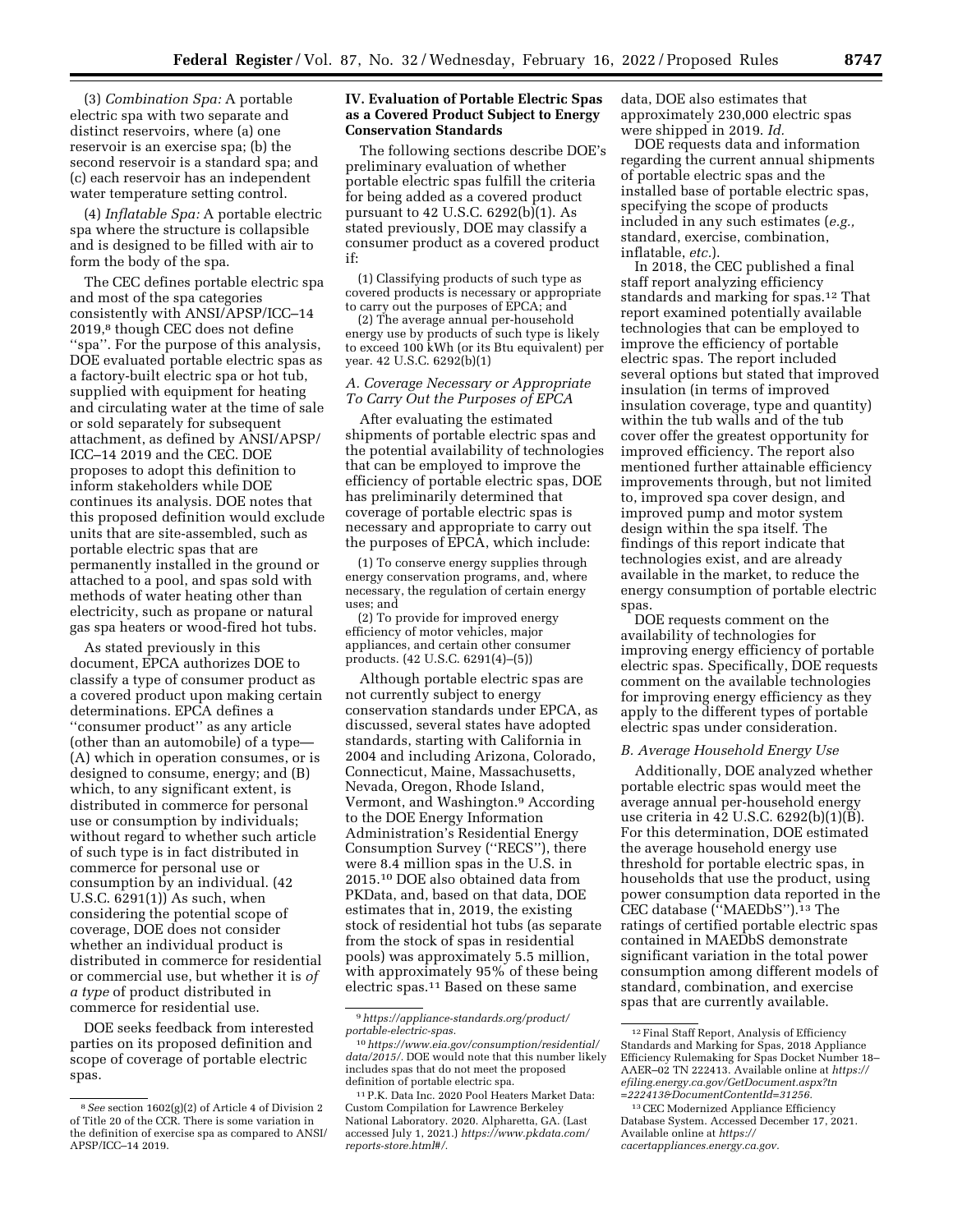(3) *Combination Spa:* A portable electric spa with two separate and distinct reservoirs, where (a) one reservoir is an exercise spa; (b) the second reservoir is a standard spa; and (c) each reservoir has an independent water temperature setting control.

(4) *Inflatable Spa:* A portable electric spa where the structure is collapsible and is designed to be filled with air to form the body of the spa.

The CEC defines portable electric spa and most of the spa categories consistently with ANSI/APSP/ICC–14 2019,8 though CEC does not define ''spa''. For the purpose of this analysis, DOE evaluated portable electric spas as a factory-built electric spa or hot tub, supplied with equipment for heating and circulating water at the time of sale or sold separately for subsequent attachment, as defined by ANSI/APSP/ ICC–14 2019 and the CEC. DOE proposes to adopt this definition to inform stakeholders while DOE continues its analysis. DOE notes that this proposed definition would exclude units that are site-assembled, such as portable electric spas that are permanently installed in the ground or attached to a pool, and spas sold with methods of water heating other than electricity, such as propane or natural gas spa heaters or wood-fired hot tubs.

As stated previously in this document, EPCA authorizes DOE to classify a type of consumer product as a covered product upon making certain determinations. EPCA defines a ''consumer product'' as any article (other than an automobile) of a type— (A) which in operation consumes, or is designed to consume, energy; and (B) which, to any significant extent, is distributed in commerce for personal use or consumption by individuals; without regard to whether such article of such type is in fact distributed in commerce for personal use or consumption by an individual. (42 U.S.C. 6291(1)) As such, when considering the potential scope of coverage, DOE does not consider whether an individual product is distributed in commerce for residential or commercial use, but whether it is *of a type* of product distributed in commerce for residential use.

DOE seeks feedback from interested parties on its proposed definition and scope of coverage of portable electric spas.

## **IV. Evaluation of Portable Electric Spas as a Covered Product Subject to Energy Conservation Standards**

The following sections describe DOE's preliminary evaluation of whether portable electric spas fulfill the criteria for being added as a covered product pursuant to 42 U.S.C. 6292(b)(1). As stated previously, DOE may classify a consumer product as a covered product if:

(1) Classifying products of such type as covered products is necessary or appropriate to carry out the purposes of EPCA; and

(2) The average annual per-household energy use by products of such type is likely to exceed 100 kWh (or its Btu equivalent) per year. 42 U.S.C. 6292(b)(1)

# *A. Coverage Necessary or Appropriate To Carry Out the Purposes of EPCA*

After evaluating the estimated shipments of portable electric spas and the potential availability of technologies that can be employed to improve the efficiency of portable electric spas, DOE has preliminarily determined that coverage of portable electric spas is necessary and appropriate to carry out the purposes of EPCA, which include:

(1) To conserve energy supplies through energy conservation programs, and, where necessary, the regulation of certain energy uses; and

(2) To provide for improved energy efficiency of motor vehicles, major appliances, and certain other consumer products. (42 U.S.C. 6291(4)–(5))

Although portable electric spas are not currently subject to energy conservation standards under EPCA, as discussed, several states have adopted standards, starting with California in 2004 and including Arizona, Colorado, Connecticut, Maine, Massachusetts, Nevada, Oregon, Rhode Island, Vermont, and Washington.9 According to the DOE Energy Information Administration's Residential Energy Consumption Survey (''RECS''), there were 8.4 million spas in the U.S. in 2015.10 DOE also obtained data from PKData, and, based on that data, DOE estimates that in, 2019, the existing stock of residential hot tubs (as separate from the stock of spas in residential pools) was approximately 5.5 million, with approximately 95% of these being electric spas.11 Based on these same

data, DOE also estimates that approximately 230,000 electric spas were shipped in 2019. *Id.* 

DOE requests data and information regarding the current annual shipments of portable electric spas and the installed base of portable electric spas, specifying the scope of products included in any such estimates (*e.g.,*  standard, exercise, combination, inflatable, *etc.*).

In 2018, the CEC published a final staff report analyzing efficiency standards and marking for spas.12 That report examined potentially available technologies that can be employed to improve the efficiency of portable electric spas. The report included several options but stated that improved insulation (in terms of improved insulation coverage, type and quantity) within the tub walls and of the tub cover offer the greatest opportunity for improved efficiency. The report also mentioned further attainable efficiency improvements through, but not limited to, improved spa cover design, and improved pump and motor system design within the spa itself. The findings of this report indicate that technologies exist, and are already available in the market, to reduce the energy consumption of portable electric spas.

DOE requests comment on the availability of technologies for improving energy efficiency of portable electric spas. Specifically, DOE requests comment on the available technologies for improving energy efficiency as they apply to the different types of portable electric spas under consideration.

## *B. Average Household Energy Use*

Additionally, DOE analyzed whether portable electric spas would meet the average annual per-household energy use criteria in 42 U.S.C. 6292(b)(1)(B). For this determination, DOE estimated the average household energy use threshold for portable electric spas, in households that use the product, using power consumption data reported in the CEC database ("MAEDbS").<sup>13</sup> The ratings of certified portable electric spas contained in MAEDbS demonstrate significant variation in the total power consumption among different models of standard, combination, and exercise spas that are currently available.

<sup>8</sup>*See* section 1602(g)(2) of Article 4 of Division 2 of Title 20 of the CCR. There is some variation in the definition of exercise spa as compared to ANSI/ APSP/ICC–14 2019.

<sup>9</sup>*[https://appliance-standards.org/product/](https://appliance-standards.org/product/portable-electric-spas) [portable-electric-spas.](https://appliance-standards.org/product/portable-electric-spas)* 

<sup>10</sup>*[https://www.eia.gov/consumption/residential/](https://www.eia.gov/consumption/residential/data/2015/) [data/2015/.](https://www.eia.gov/consumption/residential/data/2015/)* DOE would note that this number likely includes spas that do not meet the proposed definition of portable electric spa.

<sup>11</sup>P.K. Data Inc. 2020 Pool Heaters Market Data: Custom Compilation for Lawrence Berkeley National Laboratory. 2020. Alpharetta, GA. (Last accessed July 1, 2021.) *[https://www.pkdata.com/](https://www.pkdata.com/reports-store.html#/)  [reports-store.html#/.](https://www.pkdata.com/reports-store.html#/)* 

<sup>12</sup>Final Staff Report, Analysis of Efficiency Standards and Marking for Spas, 2018 Appliance Efficiency Rulemaking for Spas Docket Number 18– AAER–02 TN 222413. Available online at *[https://](https://efiling.energy.ca.gov/GetDocument.aspx?tn=222413&DocumentContentId=31256) [efiling.energy.ca.gov/GetDocument.aspx?tn](https://efiling.energy.ca.gov/GetDocument.aspx?tn=222413&DocumentContentId=31256) [=222413&DocumentContentId=31256.](https://efiling.energy.ca.gov/GetDocument.aspx?tn=222413&DocumentContentId=31256)* 

<sup>13</sup>CEC Modernized Appliance Efficiency Database System. Accessed December 17, 2021. Available online at *[https://](https://cacertappliances.energy.ca.gov) [cacertappliances.energy.ca.gov.](https://cacertappliances.energy.ca.gov)*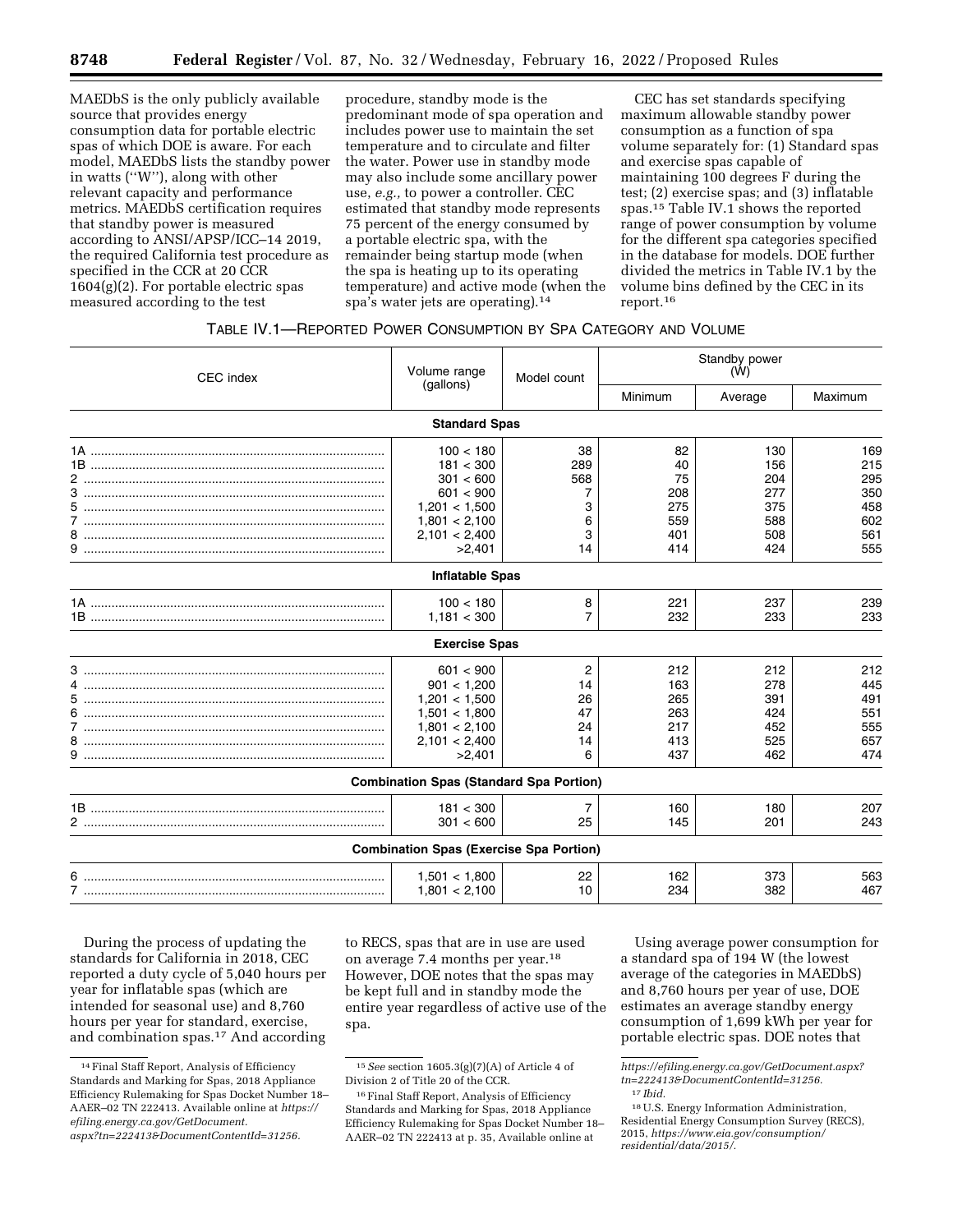MAEDbS is the only publicly available source that provides energy consumption data for portable electric spas of which DOE is aware. For each model, MAEDbS lists the standby power in watts (''W''), along with other relevant capacity and performance metrics. MAEDbS certification requires that standby power is measured according to ANSI/APSP/ICC–14 2019, the required California test procedure as specified in the CCR at 20 CCR 1604(g)(2). For portable electric spas measured according to the test

procedure, standby mode is the predominant mode of spa operation and includes power use to maintain the set temperature and to circulate and filter the water. Power use in standby mode may also include some ancillary power use, *e.g.,* to power a controller. CEC estimated that standby mode represents 75 percent of the energy consumed by a portable electric spa, with the remainder being startup mode (when the spa is heating up to its operating temperature) and active mode (when the spa's water jets are operating).14

CEC has set standards specifying maximum allowable standby power consumption as a function of spa volume separately for: (1) Standard spas and exercise spas capable of maintaining 100 degrees F during the test; (2) exercise spas; and (3) inflatable spas.15 Table IV.1 shows the reported range of power consumption by volume for the different spa categories specified in the database for models. DOE further divided the metrics in Table IV.1 by the volume bins defined by the CEC in its report.16

# TABLE IV.1—REPORTED POWER CONSUMPTION BY SPA CATEGORY AND VOLUME

| CEC index                              | Volume range<br>(gallons)                      | Model count | Standby power<br>(W) |         |         |
|----------------------------------------|------------------------------------------------|-------------|----------------------|---------|---------|
|                                        |                                                |             | Minimum              | Average | Maximum |
|                                        | <b>Standard Spas</b>                           |             |                      |         |         |
| <u>1A …………………………………………………………………………</u> | 100 < 180                                      | 38          | 82                   | 130     | 169     |
|                                        | 181 < 300                                      | 289         | 40                   | 156     | 215     |
|                                        | 301 < 600                                      | 568         | 75                   | 204     | 295     |
|                                        | 601 < 900                                      | 7           | 208                  | 277     | 350     |
|                                        | 1,201 < 1,500                                  | 3           | 275                  | 375     | 458     |
| 7                                      | 1,801 < 2,100                                  | 6           | 559                  | 588     | 602     |
| 8                                      | 2,101 < 2,400                                  | 3           | 401                  | 508     | 561     |
|                                        | >2,401                                         | 14          | 414                  | 424     | 555     |
|                                        | <b>Inflatable Spas</b>                         |             |                      |         |         |
| <u>1A …………………………………………………………………………</u> | 100 < 180                                      | 8           | 221                  | 237     | 239     |
|                                        | 1,181 < 300                                    | 7           | 232                  | 233     | 233     |
|                                        | <b>Exercise Spas</b>                           |             |                      |         |         |
| 3                                      | 601 < 900                                      | 2           | 212                  | 212     | 212     |
| 4                                      | 901 < 1.200                                    | 14          | 163                  | 278     | 445     |
| 5.                                     | 1,201 < 1,500                                  | 26          | 265                  | 391     | 491     |
|                                        | 1,501 < 1,800                                  | 47          | 263                  | 424     | 551     |
|                                        | 1,801 < 2,100                                  | 24          | 217                  | 452     | 555     |
|                                        | 2,101 < 2,400                                  | 14          | 413                  | 525     | 657     |
|                                        | >2,401                                         | 6           | 437                  | 462     | 474     |
|                                        | <b>Combination Spas (Standard Spa Portion)</b> |             |                      |         |         |
|                                        | 181 < 300                                      | 7           | 160                  | 180     | 207     |
|                                        | 301 < 600                                      | 25          | 145                  | 201     | 243     |
|                                        | <b>Combination Spas (Exercise Spa Portion)</b> |             |                      |         |         |
| 6.                                     | 1,501 < 1,800                                  | 22          | 162                  | 373     | 563     |
|                                        | 1,801 < 2,100                                  | 10          | 234                  | 382     | 467     |

During the process of updating the standards for California in 2018, CEC reported a duty cycle of 5,040 hours per year for inflatable spas (which are intended for seasonal use) and 8,760 hours per year for standard, exercise, and combination spas.17 And according

to RECS, spas that are in use are used on average 7.4 months per year.18 However, DOE notes that the spas may be kept full and in standby mode the entire year regardless of active use of the spa.

Using average power consumption for a standard spa of 194 W (the lowest average of the categories in MAEDbS) and 8,760 hours per year of use, DOE estimates an average standby energy consumption of 1,699 kWh per year for portable electric spas. DOE notes that

<sup>14</sup>Final Staff Report, Analysis of Efficiency Standards and Marking for Spas, 2018 Appliance Efficiency Rulemaking for Spas Docket Number 18– AAER–02 TN 222413. Available online at *[https://](https://efiling.energy.ca.gov/GetDocument.aspx?tn=222413&DocumentContentId=31256) [efiling.energy.ca.gov/GetDocument.](https://efiling.energy.ca.gov/GetDocument.aspx?tn=222413&DocumentContentId=31256) [aspx?tn=222413&DocumentContentId=31256.](https://efiling.energy.ca.gov/GetDocument.aspx?tn=222413&DocumentContentId=31256)* 

<sup>15</sup>*See* section 1605.3(g)(7)(A) of Article 4 of Division 2 of Title 20 of the CCR.

<sup>&</sup>lt;sup>16</sup> Final Staff Report, Analysis of Efficiency Standards and Marking for Spas, 2018 Appliance Efficiency Rulemaking for Spas Docket Number 18– AAER–02 TN 222413 at p. 35, Available online at

*[https://efiling.energy.ca.gov/GetDocument.aspx?](https://efiling.energy.ca.gov/GetDocument.aspx?tn=222413&DocumentContentId=31256) [tn=222413&DocumentContentId=31256.](https://efiling.energy.ca.gov/GetDocument.aspx?tn=222413&DocumentContentId=31256)*  17 *Ibid.* 

<sup>18</sup>U.S. Energy Information Administration, Residential Energy Consumption Survey (RECS), 2015, *[https://www.eia.gov/consumption/](https://www.eia.gov/consumption/residential/data/2015/) [residential/data/2015/.](https://www.eia.gov/consumption/residential/data/2015/)*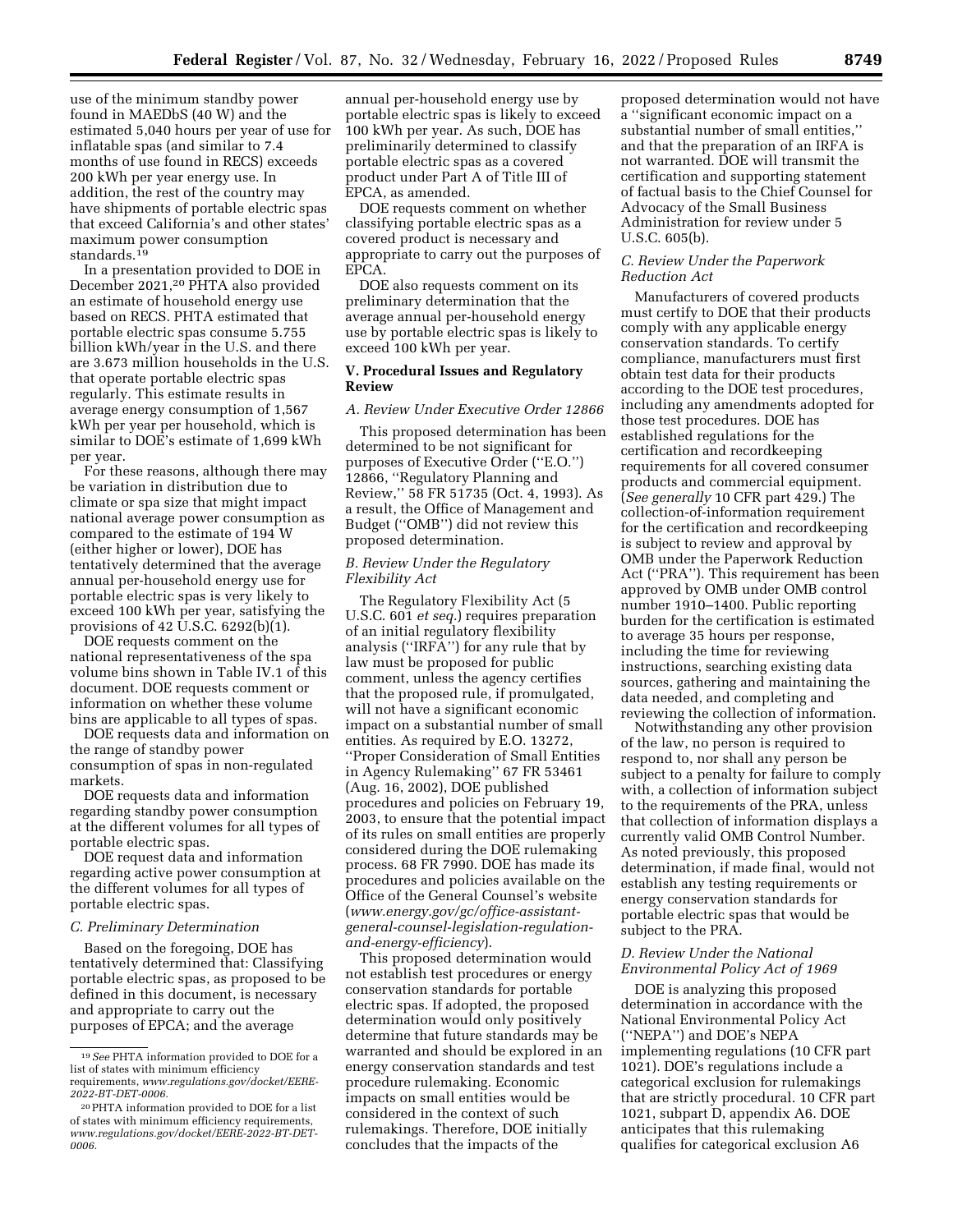use of the minimum standby power found in MAEDbS (40 W) and the estimated 5,040 hours per year of use for inflatable spas (and similar to 7.4 months of use found in RECS) exceeds 200 kWh per year energy use. In addition, the rest of the country may have shipments of portable electric spas that exceed California's and other states' maximum power consumption standards.19

In a presentation provided to DOE in December 2021,20 PHTA also provided an estimate of household energy use based on RECS. PHTA estimated that portable electric spas consume 5.755 billion kWh/year in the U.S. and there are 3.673 million households in the U.S. that operate portable electric spas regularly. This estimate results in average energy consumption of 1,567 kWh per year per household, which is similar to DOE's estimate of 1,699 kWh per year.

For these reasons, although there may be variation in distribution due to climate or spa size that might impact national average power consumption as compared to the estimate of 194 W (either higher or lower), DOE has tentatively determined that the average annual per-household energy use for portable electric spas is very likely to exceed 100 kWh per year, satisfying the provisions of 42 U.S.C. 6292(b)(1).

DOE requests comment on the national representativeness of the spa volume bins shown in Table IV.1 of this document. DOE requests comment or information on whether these volume bins are applicable to all types of spas.

DOE requests data and information on the range of standby power consumption of spas in non-regulated markets.

DOE requests data and information regarding standby power consumption at the different volumes for all types of portable electric spas.

DOE request data and information regarding active power consumption at the different volumes for all types of portable electric spas.

## *C. Preliminary Determination*

Based on the foregoing, DOE has tentatively determined that: Classifying portable electric spas, as proposed to be defined in this document, is necessary and appropriate to carry out the purposes of EPCA; and the average

annual per-household energy use by portable electric spas is likely to exceed 100 kWh per year. As such, DOE has preliminarily determined to classify portable electric spas as a covered product under Part A of Title III of EPCA, as amended.

DOE requests comment on whether classifying portable electric spas as a covered product is necessary and appropriate to carry out the purposes of EPCA.

DOE also requests comment on its preliminary determination that the average annual per-household energy use by portable electric spas is likely to exceed 100 kWh per year.

#### **V. Procedural Issues and Regulatory Review**

## *A. Review Under Executive Order 12866*

This proposed determination has been determined to be not significant for purposes of Executive Order (''E.O.'') 12866, ''Regulatory Planning and Review,'' 58 FR 51735 (Oct. 4, 1993). As a result, the Office of Management and Budget (''OMB'') did not review this proposed determination.

## *B. Review Under the Regulatory Flexibility Act*

The Regulatory Flexibility Act (5 U.S.C. 601 *et seq.*) requires preparation of an initial regulatory flexibility analysis (''IRFA'') for any rule that by law must be proposed for public comment, unless the agency certifies that the proposed rule, if promulgated, will not have a significant economic impact on a substantial number of small entities. As required by E.O. 13272, ''Proper Consideration of Small Entities in Agency Rulemaking'' 67 FR 53461 (Aug. 16, 2002), DOE published procedures and policies on February 19, 2003, to ensure that the potential impact of its rules on small entities are properly considered during the DOE rulemaking process. 68 FR 7990. DOE has made its procedures and policies available on the Office of the General Counsel's website (*www.energy.gov/gc/office-assistant[general-counsel-legislation-regulation](http://www.energy.gov/gc/office-assistant-general-counsel-legislation-regulation-and-energy-efficiency)[and-energy-efficiency](http://www.energy.gov/gc/office-assistant-general-counsel-legislation-regulation-and-energy-efficiency)*).

This proposed determination would not establish test procedures or energy conservation standards for portable electric spas. If adopted, the proposed determination would only positively determine that future standards may be warranted and should be explored in an energy conservation standards and test procedure rulemaking. Economic impacts on small entities would be considered in the context of such rulemakings. Therefore, DOE initially concludes that the impacts of the

proposed determination would not have a ''significant economic impact on a substantial number of small entities,'' and that the preparation of an IRFA is not warranted. DOE will transmit the certification and supporting statement of factual basis to the Chief Counsel for Advocacy of the Small Business Administration for review under 5 U.S.C. 605(b).

#### *C. Review Under the Paperwork Reduction Act*

Manufacturers of covered products must certify to DOE that their products comply with any applicable energy conservation standards. To certify compliance, manufacturers must first obtain test data for their products according to the DOE test procedures, including any amendments adopted for those test procedures. DOE has established regulations for the certification and recordkeeping requirements for all covered consumer products and commercial equipment. (*See generally* 10 CFR part 429.) The collection-of-information requirement for the certification and recordkeeping is subject to review and approval by OMB under the Paperwork Reduction Act (''PRA''). This requirement has been approved by OMB under OMB control number 1910–1400. Public reporting burden for the certification is estimated to average 35 hours per response, including the time for reviewing instructions, searching existing data sources, gathering and maintaining the data needed, and completing and reviewing the collection of information.

Notwithstanding any other provision of the law, no person is required to respond to, nor shall any person be subject to a penalty for failure to comply with, a collection of information subject to the requirements of the PRA, unless that collection of information displays a currently valid OMB Control Number. As noted previously, this proposed determination, if made final, would not establish any testing requirements or energy conservation standards for portable electric spas that would be subject to the PRA.

## *D. Review Under the National Environmental Policy Act of 1969*

DOE is analyzing this proposed determination in accordance with the National Environmental Policy Act (''NEPA'') and DOE's NEPA implementing regulations (10 CFR part 1021). DOE's regulations include a categorical exclusion for rulemakings that are strictly procedural. 10 CFR part 1021, subpart D, appendix A6. DOE anticipates that this rulemaking qualifies for categorical exclusion A6

<sup>19</sup>*See* PHTA information provided to DOE for a list of states with minimum efficiency requirements, *[www.regulations.gov/docket/EERE-](http://www.regulations.gov/docket/EERE-2022-BT-DET-0006)[2022-BT-DET-0006.](http://www.regulations.gov/docket/EERE-2022-BT-DET-0006)* 

<sup>20</sup>PHTA information provided to DOE for a list of states with minimum efficiency requirements, *[www.regulations.gov/docket/EERE-2022-BT-DET-](http://www.regulations.gov/docket/EERE-2022-BT-DET-0006)[0006.](http://www.regulations.gov/docket/EERE-2022-BT-DET-0006)*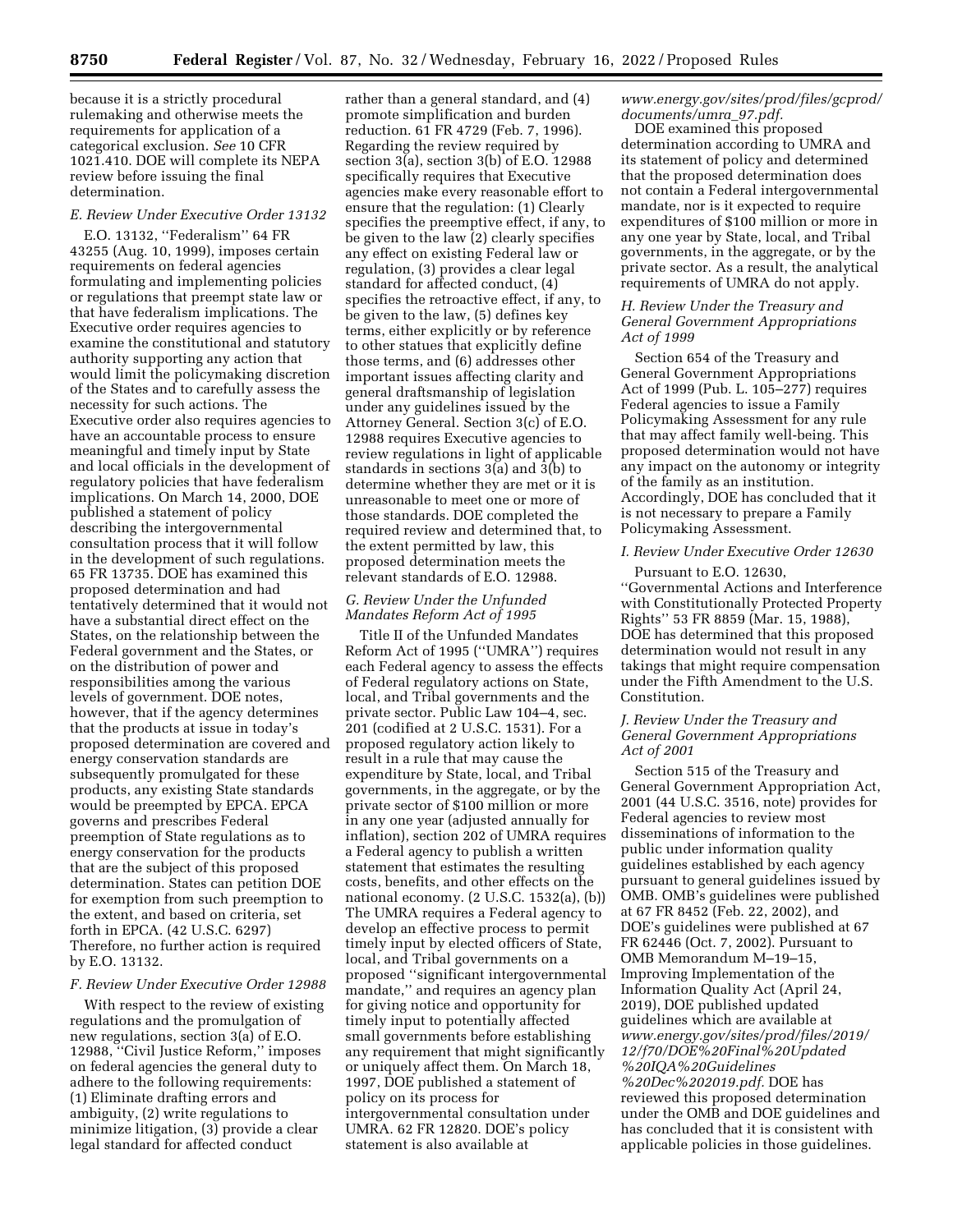because it is a strictly procedural rulemaking and otherwise meets the requirements for application of a categorical exclusion. *See* 10 CFR 1021.410. DOE will complete its NEPA review before issuing the final determination.

# *E. Review Under Executive Order 13132*

E.O. 13132, ''Federalism'' 64 FR 43255 (Aug. 10, 1999), imposes certain requirements on federal agencies formulating and implementing policies or regulations that preempt state law or that have federalism implications. The Executive order requires agencies to examine the constitutional and statutory authority supporting any action that would limit the policymaking discretion of the States and to carefully assess the necessity for such actions. The Executive order also requires agencies to have an accountable process to ensure meaningful and timely input by State and local officials in the development of regulatory policies that have federalism implications. On March 14, 2000, DOE published a statement of policy describing the intergovernmental consultation process that it will follow in the development of such regulations. 65 FR 13735. DOE has examined this proposed determination and had tentatively determined that it would not have a substantial direct effect on the States, on the relationship between the Federal government and the States, or on the distribution of power and responsibilities among the various levels of government. DOE notes, however, that if the agency determines that the products at issue in today's proposed determination are covered and energy conservation standards are subsequently promulgated for these products, any existing State standards would be preempted by EPCA. EPCA governs and prescribes Federal preemption of State regulations as to energy conservation for the products that are the subject of this proposed determination. States can petition DOE for exemption from such preemption to the extent, and based on criteria, set forth in EPCA. (42 U.S.C. 6297) Therefore, no further action is required by E.O. 13132.

# *F. Review Under Executive Order 12988*

With respect to the review of existing regulations and the promulgation of new regulations, section 3(a) of E.O. 12988, ''Civil Justice Reform,'' imposes on federal agencies the general duty to adhere to the following requirements: (1) Eliminate drafting errors and ambiguity, (2) write regulations to minimize litigation, (3) provide a clear legal standard for affected conduct

rather than a general standard, and (4) promote simplification and burden reduction. 61 FR 4729 (Feb. 7, 1996). Regarding the review required by section 3(a), section 3(b) of E.O. 12988 specifically requires that Executive agencies make every reasonable effort to ensure that the regulation: (1) Clearly specifies the preemptive effect, if any, to be given to the law (2) clearly specifies any effect on existing Federal law or regulation, (3) provides a clear legal standard for affected conduct, (4) specifies the retroactive effect, if any, to be given to the law, (5) defines key terms, either explicitly or by reference to other statues that explicitly define those terms, and (6) addresses other important issues affecting clarity and general draftsmanship of legislation under any guidelines issued by the Attorney General. Section 3(c) of E.O. 12988 requires Executive agencies to review regulations in light of applicable standards in sections 3(a) and 3(b) to determine whether they are met or it is unreasonable to meet one or more of those standards. DOE completed the required review and determined that, to the extent permitted by law, this proposed determination meets the relevant standards of E.O. 12988.

## *G. Review Under the Unfunded Mandates Reform Act of 1995*

Title II of the Unfunded Mandates Reform Act of 1995 (''UMRA'') requires each Federal agency to assess the effects of Federal regulatory actions on State, local, and Tribal governments and the private sector. Public Law 104–4, sec. 201 (codified at 2 U.S.C. 1531). For a proposed regulatory action likely to result in a rule that may cause the expenditure by State, local, and Tribal governments, in the aggregate, or by the private sector of \$100 million or more in any one year (adjusted annually for inflation), section 202 of UMRA requires a Federal agency to publish a written statement that estimates the resulting costs, benefits, and other effects on the national economy. (2 U.S.C. 1532(a), (b)) The UMRA requires a Federal agency to develop an effective process to permit timely input by elected officers of State, local, and Tribal governments on a proposed ''significant intergovernmental mandate,'' and requires an agency plan for giving notice and opportunity for timely input to potentially affected small governments before establishing any requirement that might significantly or uniquely affect them. On March 18, 1997, DOE published a statement of policy on its process for intergovernmental consultation under UMRA. 62 FR 12820. DOE's policy statement is also available at

*[www.energy.gov/sites/prod/files/gcprod/](http://www.energy.gov/sites/prod/files/gcprod/documents/umra_97.pdf)  [documents/umra](http://www.energy.gov/sites/prod/files/gcprod/documents/umra_97.pdf)*\_*97.pdf.* 

DOE examined this proposed determination according to UMRA and its statement of policy and determined that the proposed determination does not contain a Federal intergovernmental mandate, nor is it expected to require expenditures of \$100 million or more in any one year by State, local, and Tribal governments, in the aggregate, or by the private sector. As a result, the analytical requirements of UMRA do not apply.

# *H. Review Under the Treasury and General Government Appropriations Act of 1999*

Section 654 of the Treasury and General Government Appropriations Act of 1999 (Pub. L. 105–277) requires Federal agencies to issue a Family Policymaking Assessment for any rule that may affect family well-being. This proposed determination would not have any impact on the autonomy or integrity of the family as an institution. Accordingly, DOE has concluded that it is not necessary to prepare a Family Policymaking Assessment.

#### *I. Review Under Executive Order 12630*

Pursuant to E.O. 12630, ''Governmental Actions and Interference with Constitutionally Protected Property Rights'' 53 FR 8859 (Mar. 15, 1988), DOE has determined that this proposed determination would not result in any takings that might require compensation under the Fifth Amendment to the U.S. Constitution.

# *J. Review Under the Treasury and General Government Appropriations Act of 2001*

Section 515 of the Treasury and General Government Appropriation Act, 2001 (44 U.S.C. 3516, note) provides for Federal agencies to review most disseminations of information to the public under information quality guidelines established by each agency pursuant to general guidelines issued by OMB. OMB's guidelines were published at 67 FR 8452 (Feb. 22, 2002), and DOE's guidelines were published at 67 FR 62446 (Oct. 7, 2002). Pursuant to OMB Memorandum M–19–15, Improving Implementation of the Information Quality Act (April 24, 2019), DOE published updated guidelines which are available at *[www.energy.gov/sites/prod/files/2019/](http://www.energy.gov/sites/prod/files/2019/12/f70/DOE%20Final%20Updated%20IQA%20Guidelines%20Dec%202019.pdf) [12/f70/DOE%20Final%20Updated](http://www.energy.gov/sites/prod/files/2019/12/f70/DOE%20Final%20Updated%20IQA%20Guidelines%20Dec%202019.pdf) [%20IQA%20Guidelines](http://www.energy.gov/sites/prod/files/2019/12/f70/DOE%20Final%20Updated%20IQA%20Guidelines%20Dec%202019.pdf) [%20Dec%202019.pdf.](http://www.energy.gov/sites/prod/files/2019/12/f70/DOE%20Final%20Updated%20IQA%20Guidelines%20Dec%202019.pdf)* DOE has reviewed this proposed determination under the OMB and DOE guidelines and has concluded that it is consistent with applicable policies in those guidelines.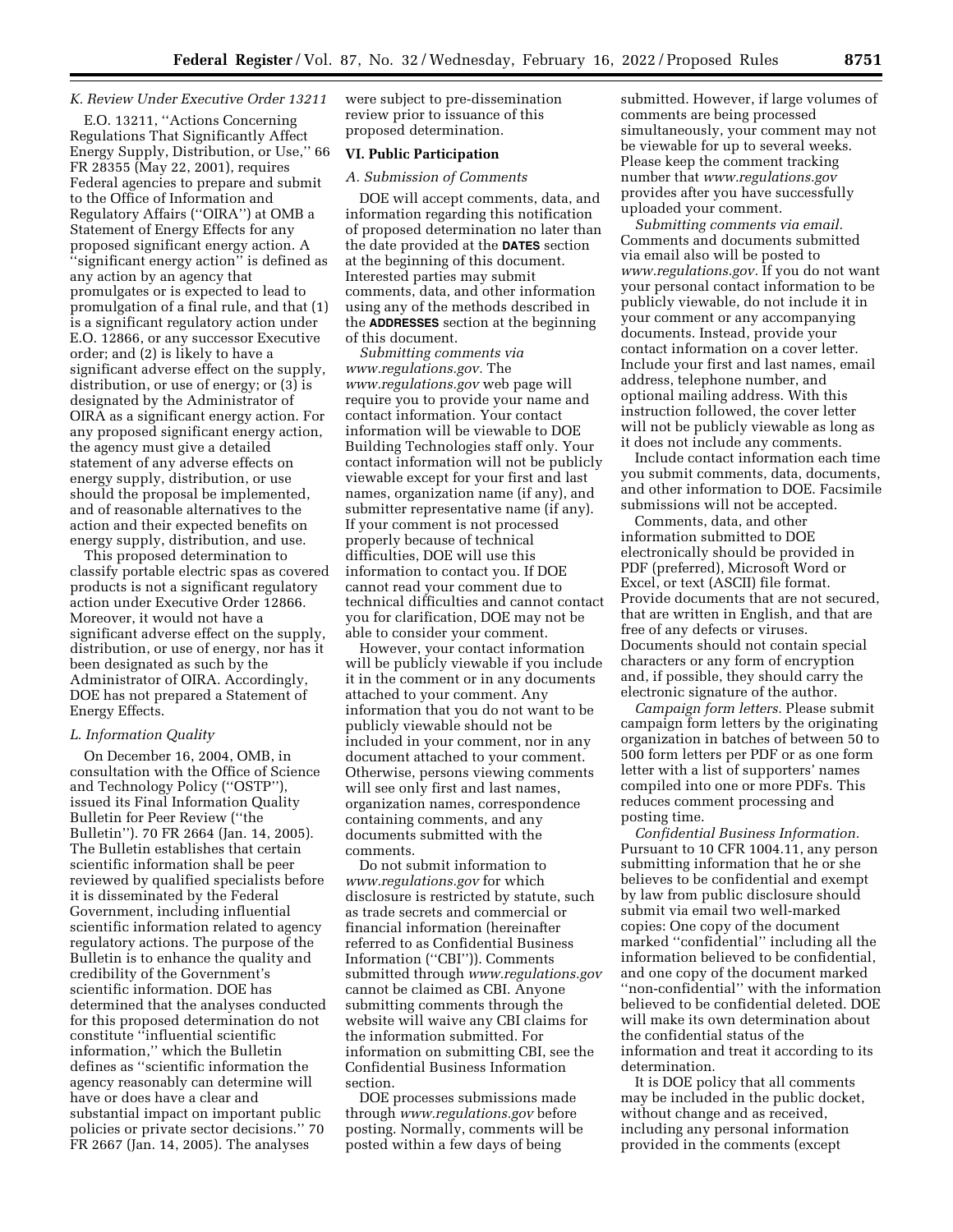# *K. Review Under Executive Order 13211*

E.O. 13211, ''Actions Concerning Regulations That Significantly Affect Energy Supply, Distribution, or Use,'' 66 FR 28355 (May 22, 2001), requires Federal agencies to prepare and submit to the Office of Information and Regulatory Affairs (''OIRA'') at OMB a Statement of Energy Effects for any proposed significant energy action. A ''significant energy action'' is defined as any action by an agency that promulgates or is expected to lead to promulgation of a final rule, and that (1) is a significant regulatory action under E.O. 12866, or any successor Executive order; and (2) is likely to have a significant adverse effect on the supply, distribution, or use of energy; or (3) is designated by the Administrator of OIRA as a significant energy action. For any proposed significant energy action, the agency must give a detailed statement of any adverse effects on energy supply, distribution, or use should the proposal be implemented, and of reasonable alternatives to the action and their expected benefits on energy supply, distribution, and use.

This proposed determination to classify portable electric spas as covered products is not a significant regulatory action under Executive Order 12866. Moreover, it would not have a significant adverse effect on the supply, distribution, or use of energy, nor has it been designated as such by the Administrator of OIRA. Accordingly, DOE has not prepared a Statement of Energy Effects.

#### *L. Information Quality*

On December 16, 2004, OMB, in consultation with the Office of Science and Technology Policy (''OSTP''), issued its Final Information Quality Bulletin for Peer Review (''the Bulletin''). 70 FR 2664 (Jan. 14, 2005). The Bulletin establishes that certain scientific information shall be peer reviewed by qualified specialists before it is disseminated by the Federal Government, including influential scientific information related to agency regulatory actions. The purpose of the Bulletin is to enhance the quality and credibility of the Government's scientific information. DOE has determined that the analyses conducted for this proposed determination do not constitute ''influential scientific information,'' which the Bulletin defines as ''scientific information the agency reasonably can determine will have or does have a clear and substantial impact on important public policies or private sector decisions.'' 70 FR 2667 (Jan. 14, 2005). The analyses

were subject to pre-dissemination review prior to issuance of this proposed determination.

## **VI. Public Participation**

# *A. Submission of Comments*

DOE will accept comments, data, and information regarding this notification of proposed determination no later than the date provided at the **DATES** section at the beginning of this document. Interested parties may submit comments, data, and other information using any of the methods described in the **ADDRESSES** section at the beginning of this document.

*Submitting comments via [www.regulations.gov.](http://www.regulations.gov)* The *[www.regulations.gov](http://www.regulations.gov)* web page will require you to provide your name and contact information. Your contact information will be viewable to DOE Building Technologies staff only. Your contact information will not be publicly viewable except for your first and last names, organization name (if any), and submitter representative name (if any). If your comment is not processed properly because of technical difficulties, DOE will use this information to contact you. If DOE cannot read your comment due to technical difficulties and cannot contact you for clarification, DOE may not be able to consider your comment.

However, your contact information will be publicly viewable if you include it in the comment or in any documents attached to your comment. Any information that you do not want to be publicly viewable should not be included in your comment, nor in any document attached to your comment. Otherwise, persons viewing comments will see only first and last names, organization names, correspondence containing comments, and any documents submitted with the comments.

Do not submit information to *[www.regulations.gov](http://www.regulations.gov)* for which disclosure is restricted by statute, such as trade secrets and commercial or financial information (hereinafter referred to as Confidential Business Information (''CBI'')). Comments submitted through *[www.regulations.gov](http://www.regulations.gov)*  cannot be claimed as CBI. Anyone submitting comments through the website will waive any CBI claims for the information submitted. For information on submitting CBI, see the Confidential Business Information section.

DOE processes submissions made through *[www.regulations.gov](http://www.regulations.gov)* before posting. Normally, comments will be posted within a few days of being

submitted. However, if large volumes of comments are being processed simultaneously, your comment may not be viewable for up to several weeks. Please keep the comment tracking number that *[www.regulations.gov](http://www.regulations.gov)*  provides after you have successfully uploaded your comment.

*Submitting comments via email.*  Comments and documents submitted via email also will be posted to *[www.regulations.gov.](http://www.regulations.gov)* If you do not want your personal contact information to be publicly viewable, do not include it in your comment or any accompanying documents. Instead, provide your contact information on a cover letter. Include your first and last names, email address, telephone number, and optional mailing address. With this instruction followed, the cover letter will not be publicly viewable as long as it does not include any comments.

Include contact information each time you submit comments, data, documents, and other information to DOE. Facsimile submissions will not be accepted.

Comments, data, and other information submitted to DOE electronically should be provided in PDF (preferred), Microsoft Word or Excel, or text (ASCII) file format. Provide documents that are not secured, that are written in English, and that are free of any defects or viruses. Documents should not contain special characters or any form of encryption and, if possible, they should carry the electronic signature of the author.

*Campaign form letters.* Please submit campaign form letters by the originating organization in batches of between 50 to 500 form letters per PDF or as one form letter with a list of supporters' names compiled into one or more PDFs. This reduces comment processing and posting time.

*Confidential Business Information.*  Pursuant to 10 CFR 1004.11, any person submitting information that he or she believes to be confidential and exempt by law from public disclosure should submit via email two well-marked copies: One copy of the document marked ''confidential'' including all the information believed to be confidential, and one copy of the document marked ''non-confidential'' with the information believed to be confidential deleted. DOE will make its own determination about the confidential status of the information and treat it according to its determination.

It is DOE policy that all comments may be included in the public docket, without change and as received, including any personal information provided in the comments (except